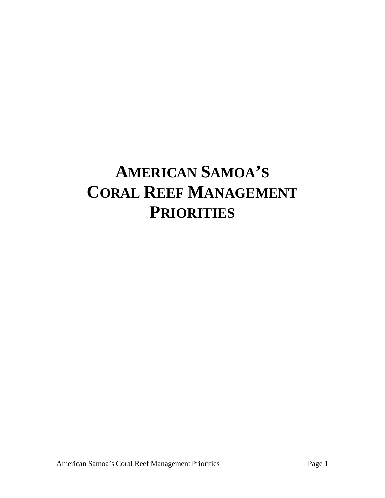# **AMERICAN SAMOA'S CORAL REEF MANAGEMENT PRIORITIES**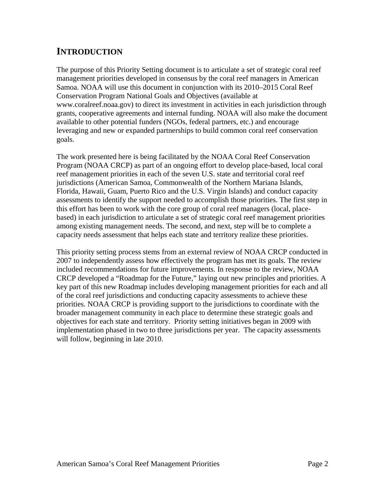# **INTRODUCTION**

The purpose of this Priority Setting document is to articulate a set of strategic coral reef management priorities developed in consensus by the coral reef managers in American Samoa. NOAA will use this document in conjunction with its 2010–2015 Coral Reef Conservation Program National Goals and Objectives (available at www.coralreef.noaa.gov) to direct its investment in activities in each jurisdiction through grants, cooperative agreements and internal funding. NOAA will also make the document available to other potential funders (NGOs, federal partners, etc.) and encourage leveraging and new or expanded partnerships to build common coral reef conservation goals.

The work presented here is being facilitated by the NOAA Coral Reef Conservation Program (NOAA CRCP) as part of an ongoing effort to develop place-based, local coral reef management priorities in each of the seven U.S. state and territorial coral reef jurisdictions (American Samoa, Commonwealth of the Northern Mariana Islands, Florida, Hawaii, Guam, Puerto Rico and the U.S. Virgin Islands) and conduct capacity assessments to identify the support needed to accomplish those priorities. The first step in this effort has been to work with the core group of coral reef managers (local, placebased) in each jurisdiction to articulate a set of strategic coral reef management priorities among existing management needs. The second, and next, step will be to complete a capacity needs assessment that helps each state and territory realize these priorities.

This priority setting process stems from an external review of NOAA CRCP conducted in 2007 to independently assess how effectively the program has met its goals. The review included recommendations for future improvements. In response to the review, NOAA CRCP developed a "Roadmap for the Future," laying out new principles and priorities. A key part of this new Roadmap includes developing management priorities for each and all of the coral reef jurisdictions and conducting capacity assessments to achieve these priorities. NOAA CRCP is providing support to the jurisdictions to coordinate with the broader management community in each place to determine these strategic goals and objectives for each state and territory. Priority setting initiatives began in 2009 with implementation phased in two to three jurisdictions per year. The capacity assessments will follow, beginning in late 2010.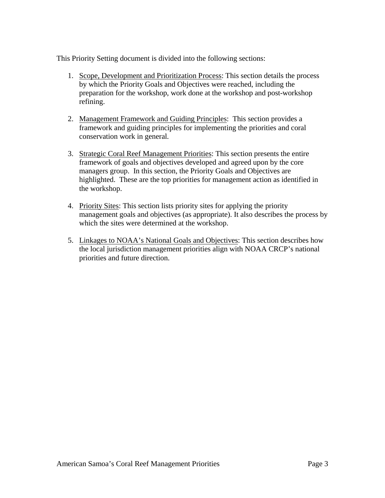This Priority Setting document is divided into the following sections:

- 1. Scope, Development and Prioritization Process: This section details the process by which the Priority Goals and Objectives were reached, including the preparation for the workshop, work done at the workshop and post-workshop refining.
- 2. Management Framework and Guiding Principles: This section provides a framework and guiding principles for implementing the priorities and coral conservation work in general.
- 3. Strategic Coral Reef Management Priorities: This section presents the entire framework of goals and objectives developed and agreed upon by the core managers group. In this section, the Priority Goals and Objectives are highlighted. These are the top priorities for management action as identified in the workshop.
- 4. Priority Sites: This section lists priority sites for applying the priority management goals and objectives (as appropriate). It also describes the process by which the sites were determined at the workshop.
- 5. Linkages to NOAA's National Goals and Objectives: This section describes how the local jurisdiction management priorities align with NOAA CRCP's national priorities and future direction.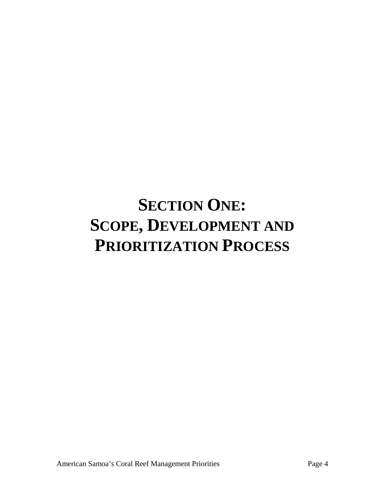# **SECTION ONE: SCOPE, DEVELOPMENT AND PRIORITIZATION PROCESS**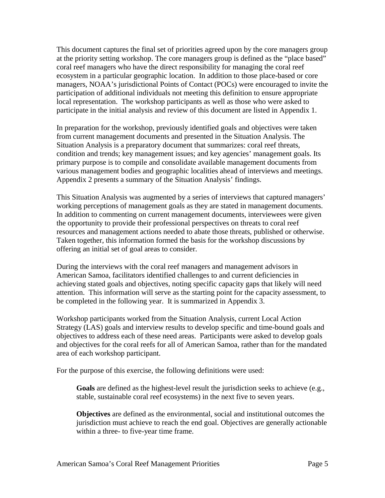This document captures the final set of priorities agreed upon by the core managers group at the priority setting workshop. The core managers group is defined as the "place based" coral reef managers who have the direct responsibility for managing the coral reef ecosystem in a particular geographic location. In addition to those place-based or core managers, NOAA's jurisdictional Points of Contact (POCs) were encouraged to invite the participation of additional individuals not meeting this definition to ensure appropriate local representation. The workshop participants as well as those who were asked to participate in the initial analysis and review of this document are listed in Appendix 1.

In preparation for the workshop, previously identified goals and objectives were taken from current management documents and presented in the Situation Analysis. The Situation Analysis is a preparatory document that summarizes: coral reef threats, condition and trends; key management issues; and key agencies' management goals. Its primary purpose is to compile and consolidate available management documents from various management bodies and geographic localities ahead of interviews and meetings. Appendix 2 presents a summary of the Situation Analysis' findings.

This Situation Analysis was augmented by a series of interviews that captured managers' working perceptions of management goals as they are stated in management documents. In addition to commenting on current management documents, interviewees were given the opportunity to provide their professional perspectives on threats to coral reef resources and management actions needed to abate those threats, published or otherwise. Taken together, this information formed the basis for the workshop discussions by offering an initial set of goal areas to consider.

During the interviews with the coral reef managers and management advisors in American Samoa, facilitators identified challenges to and current deficiencies in achieving stated goals and objectives, noting specific capacity gaps that likely will need attention. This information will serve as the starting point for the capacity assessment, to be completed in the following year. It is summarized in Appendix 3.

Workshop participants worked from the Situation Analysis, current Local Action Strategy (LAS) goals and interview results to develop specific and time-bound goals and objectives to address each of these need areas. Participants were asked to develop goals and objectives for the coral reefs for all of American Samoa, rather than for the mandated area of each workshop participant.

For the purpose of this exercise, the following definitions were used:

**Goals** are defined as the highest-level result the jurisdiction seeks to achieve (e.g., stable, sustainable coral reef ecosystems) in the next five to seven years.

**Objectives** are defined as the environmental, social and institutional outcomes the jurisdiction must achieve to reach the end goal. Objectives are generally actionable within a three- to five-year time frame.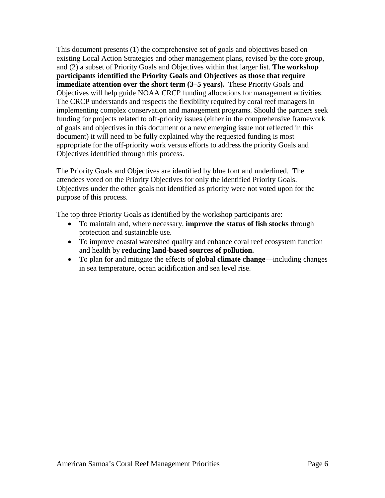This document presents (1) the comprehensive set of goals and objectives based on existing Local Action Strategies and other management plans, revised by the core group, and (2) a subset of Priority Goals and Objectives within that larger list. **The workshop participants identified the Priority Goals and Objectives as those that require immediate attention over the short term (3–5 years).** These Priority Goals and Objectives will help guide NOAA CRCP funding allocations for management activities. The CRCP understands and respects the flexibility required by coral reef managers in implementing complex conservation and management programs. Should the partners seek funding for projects related to off-priority issues (either in the comprehensive framework of goals and objectives in this document or a new emerging issue not reflected in this document) it will need to be fully explained why the requested funding is most appropriate for the off-priority work versus efforts to address the priority Goals and Objectives identified through this process.

The Priority Goals and Objectives are identified by blue font and underlined. The attendees voted on the Priority Objectives for only the identified Priority Goals. Objectives under the other goals not identified as priority were not voted upon for the purpose of this process.

The top three Priority Goals as identified by the workshop participants are:

- To maintain and, where necessary, **improve the status of fish stocks** through protection and sustainable use.
- To improve coastal watershed quality and enhance coral reef ecosystem function and health by **reducing land-based sources of pollution.**
- To plan for and mitigate the effects of **global climate change**—including changes in sea temperature, ocean acidification and sea level rise.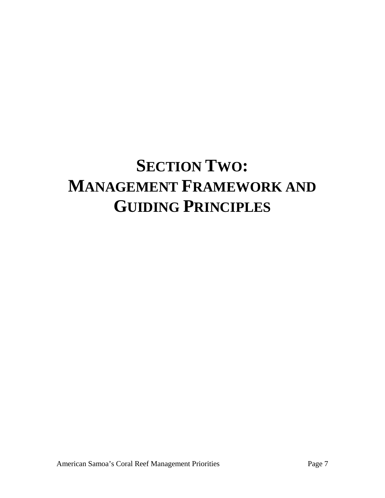# **SECTION TWO: MANAGEMENT FRAMEWORK AND GUIDING PRINCIPLES**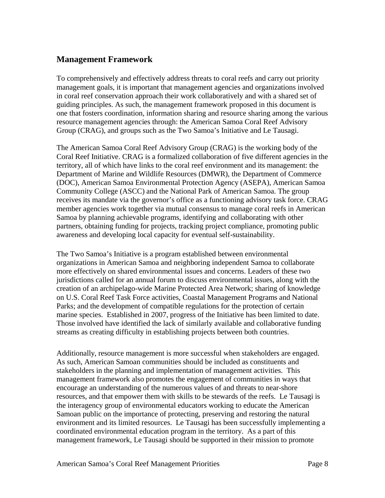# **Management Framework**

To comprehensively and effectively address threats to coral reefs and carry out priority management goals, it is important that management agencies and organizations involved in coral reef conservation approach their work collaboratively and with a shared set of guiding principles. As such, the management framework proposed in this document is one that fosters coordination, information sharing and resource sharing among the various resource management agencies through: the American Samoa Coral Reef Advisory Group (CRAG), and groups such as the Two Samoa's Initiative and Le Tausagi.

The American Samoa Coral Reef Advisory Group (CRAG) is the working body of the Coral Reef Initiative. CRAG is a formalized collaboration of five different agencies in the territory, all of which have links to the coral reef environment and its management: the Department of Marine and Wildlife Resources (DMWR), the Department of Commerce (DOC), American Samoa Environmental Protection Agency (ASEPA), American Samoa Community College (ASCC) and the National Park of American Samoa. The group receives its mandate via the governor's office as a functioning advisory task force. CRAG member agencies work together via mutual consensus to manage coral reefs in American Samoa by planning achievable programs, identifying and collaborating with other partners, obtaining funding for projects, tracking project compliance, promoting public awareness and developing local capacity for eventual self-sustainability.

The Two Samoa's Initiative is a program established between environmental organizations in American Samoa and neighboring independent Samoa to collaborate more effectively on shared environmental issues and concerns. Leaders of these two jurisdictions called for an annual forum to discuss environmental issues, along with the creation of an archipelago-wide Marine Protected Area Network; sharing of knowledge on U.S. Coral Reef Task Force activities, Coastal Management Programs and National Parks; and the development of compatible regulations for the protection of certain marine species. Established in 2007, progress of the Initiative has been limited to date. Those involved have identified the lack of similarly available and collaborative funding streams as creating difficulty in establishing projects between both countries.

Additionally, resource management is more successful when stakeholders are engaged. As such, American Samoan communities should be included as constituents and stakeholders in the planning and implementation of management activities. This management framework also promotes the engagement of communities in ways that encourage an understanding of the numerous values of and threats to near-shore resources, and that empower them with skills to be stewards of the reefs. Le Tausagi is the interagency group of environmental educators working to educate the American Samoan public on the importance of protecting, preserving and restoring the natural environment and its limited resources. Le Tausagi has been successfully implementing a coordinated environmental education program in the territory. As a part of this management framework, Le Tausagi should be supported in their mission to promote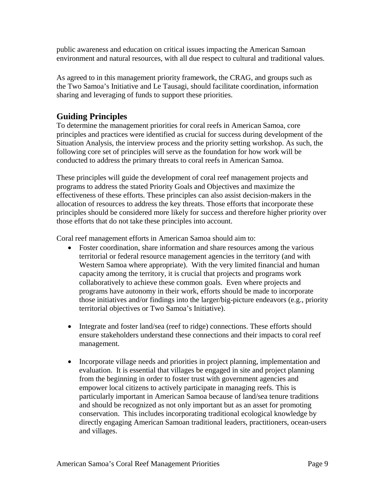public awareness and education on critical issues impacting the American Samoan environment and natural resources, with all due respect to cultural and traditional values.

As agreed to in this management priority framework, the CRAG, and groups such as the Two Samoa's Initiative and Le Tausagi, should facilitate coordination, information sharing and leveraging of funds to support these priorities.

# **Guiding Principles**

To determine the management priorities for coral reefs in American Samoa, core principles and practices were identified as crucial for success during development of the Situation Analysis, the interview process and the priority setting workshop. As such, the following core set of principles will serve as the foundation for how work will be conducted to address the primary threats to coral reefs in American Samoa.

These principles will guide the development of coral reef management projects and programs to address the stated Priority Goals and Objectives and maximize the effectiveness of these efforts. These principles can also assist decision-makers in the allocation of resources to address the key threats. Those efforts that incorporate these principles should be considered more likely for success and therefore higher priority over those efforts that do not take these principles into account.

Coral reef management efforts in American Samoa should aim to:

- Foster coordination, share information and share resources among the various territorial or federal resource management agencies in the territory (and with Western Samoa where appropriate). With the very limited financial and human capacity among the territory, it is crucial that projects and programs work collaboratively to achieve these common goals. Even where projects and programs have autonomy in their work, efforts should be made to incorporate those initiatives and/or findings into the larger/big-picture endeavors (e.g., priority territorial objectives or Two Samoa's Initiative).
- Integrate and foster land/sea (reef to ridge) connections. These efforts should ensure stakeholders understand these connections and their impacts to coral reef management.
- Incorporate village needs and priorities in project planning, implementation and evaluation. It is essential that villages be engaged in site and project planning from the beginning in order to foster trust with government agencies and empower local citizens to actively participate in managing reefs. This is particularly important in American Samoa because of land/sea tenure traditions and should be recognized as not only important but as an asset for promoting conservation. This includes incorporating traditional ecological knowledge by directly engaging American Samoan traditional leaders, practitioners, ocean-users and villages.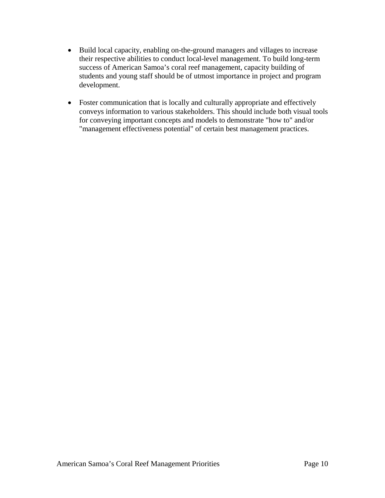- Build local capacity, enabling on-the-ground managers and villages to increase their respective abilities to conduct local-level management. To build long-term success of American Samoa's coral reef management, capacity building of students and young staff should be of utmost importance in project and program development.
- Foster communication that is locally and culturally appropriate and effectively conveys information to various stakeholders. This should include both visual tools for conveying important concepts and models to demonstrate "how to" and/or "management effectiveness potential" of certain best management practices.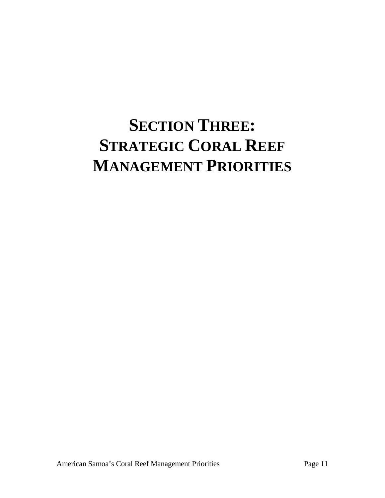# **SECTION THREE: STRATEGIC CORAL REEF MANAGEMENT PRIORITIES**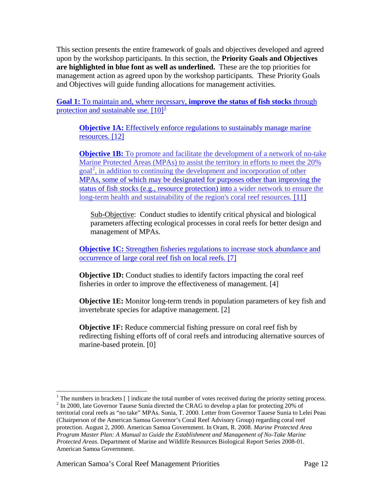This section presents the entire framework of goals and objectives developed and agreed upon by the workshop participants. In this section, the **Priority Goals and Objectives are highlighted in blue font as well as underlined.** These are the top priorities for management action as agreed upon by the workshop participants. These Priority Goals and Objectives will guide funding allocations for management activities.

**Goal 1:** To maintain and, where necessary, **improve the status of fish stocks** through protection and sustainable use.  $[10]$  $[10]$  $[10]$ <sup>1</sup>

**Objective 1A:** Effectively enforce regulations to sustainably manage marine resources. [12]

**Objective 1B:** To promote and facilitate the development of a network of no-take Marine Protected Areas (MPAs) to assist the territory in efforts to meet the 20% goal<sup>[2](#page-11-1)</sup>, in addition to continuing the development and incorporation of other MPAs, some of which may be designated for purposes other than improving the status of fish stocks (e.g., resource protection) into a wider network to ensure the long-term health and sustainability of the region's coral reef resources. [11]

Sub-Objective: Conduct studies to identify critical physical and biological parameters affecting ecological processes in coral reefs for better design and management of MPAs.

**Objective 1C:** Strengthen fisheries regulations to increase stock abundance and occurrence of large coral reef fish on local reefs. [7]

**Objective 1D:** Conduct studies to identify factors impacting the coral reef fisheries in order to improve the effectiveness of management. [4]

**Objective 1E:** Monitor long-term trends in population parameters of key fish and invertebrate species for adaptive management. [2]

**Objective 1F:** Reduce commercial fishing pressure on coral reef fish by redirecting fishing efforts off of coral reefs and introducing alternative sources of marine-based protein. [0]

<span id="page-11-1"></span><span id="page-11-0"></span><sup>&</sup>lt;sup>1</sup> The numbers in brackets [ ] indicate the total number of votes received during the priority setting process.  $2$  In 2000, late Governor Tauese Sunia directed the CRAG to develop a plan for protecting 20% of territorial coral reefs as "no take" MPAs. Sunia, T. 2000. Letter from Governor Tauese Sunia to Lelei Peau (Chairperson of the American Samoa Governor's Coral Reef Advisory Group) regarding coral reef protection. August 2, 2000. American Samoa Government. In Oram, R. 2008. *Marine Protected Area Program Master Plan: A Manual to Guide the Establishment and Management of No-Take Marine Protected Areas*. Department of Marine and Wildlife Resources Biological Report Series 2008-01. American Samoa Government.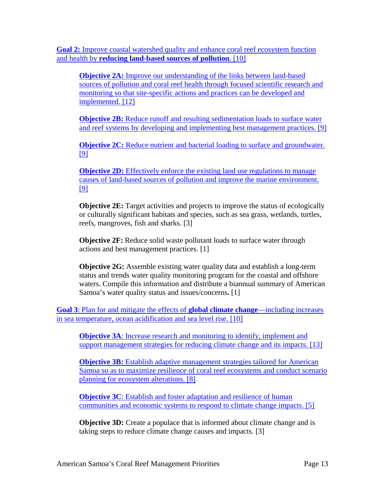**Goal 2:** Improve coastal watershed quality and enhance coral reef ecosystem function and health by **reducing land-based sources of pollution**. [10]

**Objective 2A:** Improve our understanding of the links between land-based sources of pollution and coral reef health through focused scientific research and monitoring so that site-specific actions and practices can be developed and implemented. [12]

**Objective 2B:** Reduce runoff and resulting sedimentation loads to surface water and reef systems by developing and implementing best management practices. [9]

**Objective 2C:** Reduce nutrient and bacterial loading to surface and groundwater. [9]

**Objective 2D:** Effectively enforce the existing land use regulations to manage causes of land-based sources of pollution and improve the marine environment. [9]

**Objective 2E:** Target activities and projects to improve the status of ecologically or culturally significant habitats and species, such as sea grass, wetlands, turtles, reefs, mangroves, fish and sharks. [3]

**Objective 2F:** Reduce solid waste pollutant loads to surface water through actions and best management practices. [1]

**Objective 2G:** Assemble existing water quality data and establish a long-term status and trends water quality monitoring program for the coastal and offshore waters. Compile this information and distribute a biannual summary of American Samoa's water quality status and issues/concerns**.** [1]

**Goal 3**: Plan for and mitigate the effects of **global climate change**—including increases in sea temperature, ocean acidification and sea level rise. [10]

**Objective 3A:** Increase research and monitoring to identify, implement and support management strategies for reducing climate change and its impacts. [13]

**Objective 3B:** Establish adaptive management strategies tailored for American Samoa so as to maximize resilience of coral reef ecosystems and conduct scenario planning for ecosystem alterations. [8]

**Objective 3C**: Establish and foster adaptation and resilience of human communities and economic systems to respond to climate change impacts. [5]

**Objective 3D:** Create a populace that is informed about climate change and is taking steps to reduce climate change causes and impacts. [3]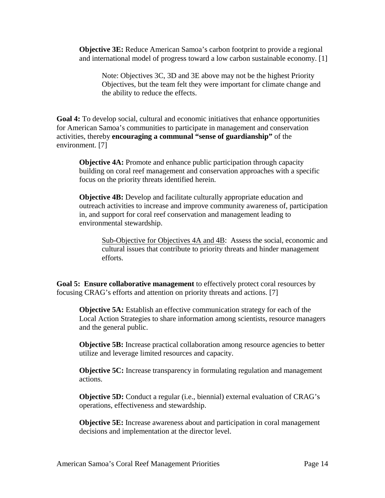**Objective 3E:** Reduce American Samoa's carbon footprint to provide a regional and international model of progress toward a low carbon sustainable economy. [1]

Note: Objectives 3C, 3D and 3E above may not be the highest Priority Objectives, but the team felt they were important for climate change and the ability to reduce the effects.

**Goal 4:** To develop social, cultural and economic initiatives that enhance opportunities for American Samoa's communities to participate in management and conservation activities, thereby **encouraging a communal "sense of guardianship"** of the environment. [7]

**Objective 4A:** Promote and enhance public participation through capacity building on coral reef management and conservation approaches with a specific focus on the priority threats identified herein.

**Objective 4B:** Develop and facilitate culturally appropriate education and outreach activities to increase and improve community awareness of, participation in, and support for coral reef conservation and management leading to environmental stewardship.

Sub-Objective for Objectives 4A and 4B: Assess the social, economic and cultural issues that contribute to priority threats and hinder management efforts.

**Goal 5: Ensure collaborative management** to effectively protect coral resources by focusing CRAG's efforts and attention on priority threats and actions. [7]

**Objective 5A:** Establish an effective communication strategy for each of the Local Action Strategies to share information among scientists, resource managers and the general public.

**Objective 5B:** Increase practical collaboration among resource agencies to better utilize and leverage limited resources and capacity.

**Objective 5C:** Increase transparency in formulating regulation and management actions.

**Objective 5D:** Conduct a regular (i.e., biennial) external evaluation of CRAG's operations, effectiveness and stewardship.

**Objective 5E:** Increase awareness about and participation in coral management decisions and implementation at the director level.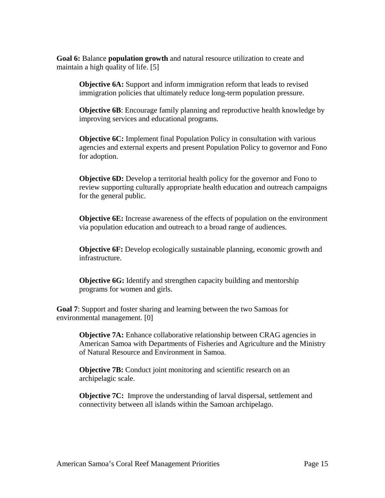**Goal 6:** Balance **population growth** and natural resource utilization to create and maintain a high quality of life. [5]

**Objective 6A:** Support and inform immigration reform that leads to revised immigration policies that ultimately reduce long-term population pressure.

**Objective 6B**: Encourage family planning and reproductive health knowledge by improving services and educational programs.

**Objective 6C:** Implement final Population Policy in consultation with various agencies and external experts and present Population Policy to governor and Fono for adoption.

**Objective 6D:** Develop a territorial health policy for the governor and Fono to review supporting culturally appropriate health education and outreach campaigns for the general public.

**Objective 6E:** Increase awareness of the effects of population on the environment via population education and outreach to a broad range of audiences.

**Objective 6F:** Develop ecologically sustainable planning, economic growth and infrastructure.

**Objective 6G:** Identify and strengthen capacity building and mentorship programs for women and girls.

**Goal 7**: Support and foster sharing and learning between the two Samoas for environmental management. [0]

**Objective 7A:** Enhance collaborative relationship between CRAG agencies in American Samoa with Departments of Fisheries and Agriculture and the Ministry of Natural Resource and Environment in Samoa.

**Objective 7B:** Conduct joint monitoring and scientific research on an archipelagic scale.

**Objective 7C:** Improve the understanding of larval dispersal, settlement and connectivity between all islands within the Samoan archipelago.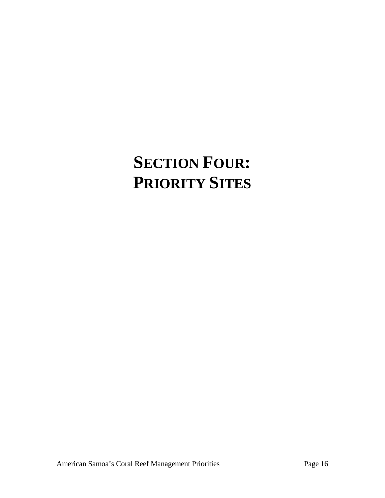# **SECTION FOUR: PRIORITY SITES**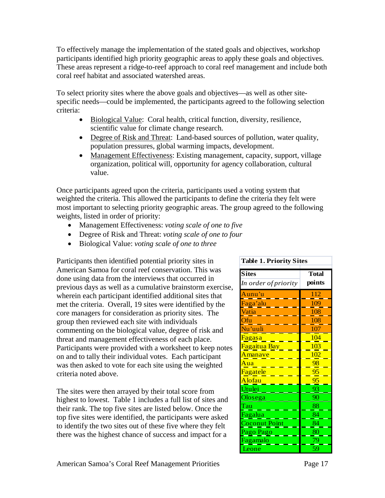To effectively manage the implementation of the stated goals and objectives, workshop participants identified high priority geographic areas to apply these goals and objectives. These areas represent a ridge-to-reef approach to coral reef management and include both coral reef habitat and associated watershed areas.

To select priority sites where the above goals and objectives—as well as other sitespecific needs—could be implemented, the participants agreed to the following selection criteria:

- Biological Value: Coral health, critical function, diversity, resilience, scientific value for climate change research.
- Degree of Risk and Threat: Land-based sources of pollution, water quality, population pressures, global warming impacts, development.
- Management Effectiveness: Existing management, capacity, support, village organization, political will, opportunity for agency collaboration, cultural value.

Once participants agreed upon the criteria, participants used a voting system that weighted the criteria. This allowed the participants to define the criteria they felt were most important to selecting priority geographic areas. The group agreed to the following weights, listed in order of priority:

- Management Effectiveness: *voting scale of one to five*
- Degree of Risk and Threat: *voting scale of one to four*
- Biological Value: *voting scale of one to three*

Participants then identified potential priority sites in American Samoa for coral reef conservation. This was done using data from the interviews that occurred in previous days as well as a cumulative brainstorm exercise, wherein each participant identified additional sites that met the criteria. Overall, 19 sites were identified by the core managers for consideration as priority sites. The group then reviewed each site with individuals commenting on the biological value, degree of risk and threat and management effectiveness of each place. Participants were provided with a worksheet to keep notes on and to tally their individual votes. Each participant was then asked to vote for each site using the weighted criteria noted above.

The sites were then arrayed by their total score from highest to lowest. Table 1 includes a full list of sites and their rank. The top five sites are listed below. Once the top five sites were identified, the participants were asked to identify the two sites out of these five where they felt there was the highest chance of success and impact for a

#### **Table 1. Priority Sites**

| <b>Sites</b>              | <b>Total</b> |
|---------------------------|--------------|
| In order of priority      | points       |
| Aunu'u                    | 112          |
| Faga'alu                  | 109          |
| Vatia                     | 108          |
| Ofu                       | 108          |
| Nu'uuli                   | 107          |
| <mark>Fagasa</mark>       | 104          |
| <mark>Fagaitua Bay</mark> | 103          |
| <mark>Amanave</mark>      | 102          |
| Aua                       | 98           |
| Fagatele                  | 95           |
| Alofau                    | 95           |
| Utulei                    | 93           |
| Olosega                   | 90           |
| Tau                       | 88           |
| Fagalua                   | 84           |
| <b>Coconut Point</b>      | 84           |
| Pago Pago                 | 80           |
| Fagamalo                  | 79           |
| Leone                     | 59           |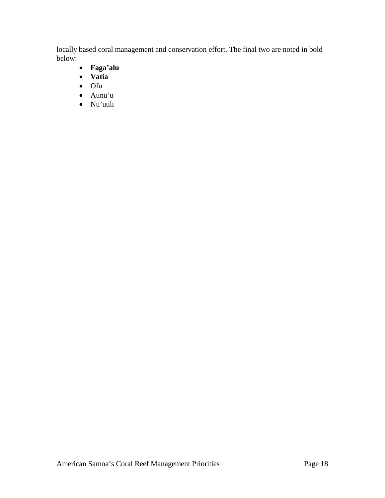locally based coral management and conservation effort. The final two are noted in bold below:

- **Faga'alu**
- **Vatia**
- Ofu
- Aunu'u
- Nu'uuli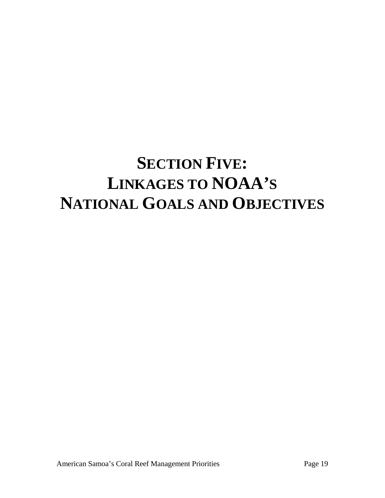# **SECTION FIVE: LINKAGES TO NOAA'S NATIONAL GOALS AND OBJECTIVES**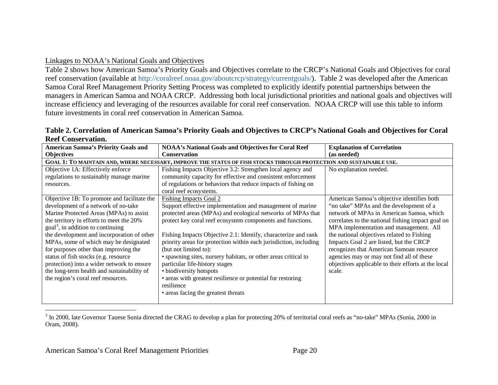## <span id="page-19-0"></span>Linkages to NOAA's National Goals and Objectives

Table 2 shows how American Samoa's Priority Goals and Objectives correlate to the CRCP's National Goals and Objectives for coral reef conservation (available at [http://coralreef.noaa.gov/aboutcrcp/strategy/currentgoals/\)](http://coralreef.noaa.gov/aboutcrcp/strategy/currentgoals/). Table 2 was developed after the American Samoa Coral Reef Management Priority Setting Process was completed to explicitly identify potential partnerships between the managers in American Samoa and NOAA CRCP. Addressing both local jurisdictional priorities and national goals and objectives will increase efficiency and leveraging of the resources available for coral reef conservation. NOAA CRCP will use this table to inform future investments in coral reef conservation in American Samoa.

|                           | Table 2. Correlation of American Samoa's Priority Goals and Objectives to CRCP's National Goals and Objectives for Coral |  |
|---------------------------|--------------------------------------------------------------------------------------------------------------------------|--|
| <b>Reef Conservation.</b> |                                                                                                                          |  |
|                           |                                                                                                                          |  |

| <b>American Samoa's Priority Goals and</b>  | <b>NOAA's National Goals and Objectives for Coral Reef</b>                                                          | <b>Explanation of Correlation</b>                   |
|---------------------------------------------|---------------------------------------------------------------------------------------------------------------------|-----------------------------------------------------|
| <b>Objectives</b>                           | <b>Conservation</b>                                                                                                 | (as needed)                                         |
|                                             | GOAL 1: TO MAINTAIN AND, WHERE NECESSARY, IMPROVE THE STATUS OF FISH STOCKS THROUGH PROTECTION AND SUSTAINABLE USE. |                                                     |
| Objective 1A: Effectively enforce           | Fishing Impacts Objective 3.2: Strengthen local agency and                                                          | No explanation needed.                              |
| regulations to sustainably manage marine    | community capacity for effective and consistent enforcement                                                         |                                                     |
| resources.                                  | of regulations or behaviors that reduce impacts of fishing on                                                       |                                                     |
|                                             | coral reef ecosystems.                                                                                              |                                                     |
| Objective 1B: To promote and facilitate the | <b>Fishing Impacts Goal 2</b>                                                                                       | American Samoa's objective identifies both          |
| development of a network of no-take         | Support effective implementation and management of marine                                                           | "no take" MPAs and the development of a             |
| Marine Protected Areas (MPAs) to assist     | protected areas (MPAs) and ecological networks of MPAs that                                                         | network of MPAs in American Samoa, which            |
| the territory in efforts to meet the 20%    | protect key coral reef ecosystem components and functions.                                                          | correlates to the national fishing impact goal on   |
| $\text{goal}^3$ , in addition to continuing |                                                                                                                     | MPA implementation and management. All              |
| the development and incorporation of other  | Fishing Impacts Objective 2.1: Identify, characterize and rank                                                      | the national objectives related to Fishing          |
| MPAs, some of which may be designated       | priority areas for protection within each jurisdiction, including                                                   | Impacts Goal 2 are listed, but the CRCP             |
| for purposes other than improving the       | (but not limited to):                                                                                               | recognizes that American Samoan resource            |
| status of fish stocks (e.g. resource        | • spawning sites, nursery habitats, or other areas critical to                                                      | agencies may or may not find all of these           |
| protection) into a wider network to ensure  | particular life-history stages                                                                                      | objectives applicable to their efforts at the local |
| the long-term health and sustainability of  | • biodiversity hotspots                                                                                             | scale.                                              |
| the region's coral reef resources.          | • areas with greatest resilience or potential for restoring                                                         |                                                     |
|                                             | resilience                                                                                                          |                                                     |
|                                             | • areas facing the greatest threats                                                                                 |                                                     |
|                                             |                                                                                                                     |                                                     |

<sup>3</sup> In 2000, late Governor Tauese Sunia directed the CRAG to develop a plan for protecting 20% of territorial coral reefs as "no-take" MPAs (Sunia, 2000 in Oram, 2008).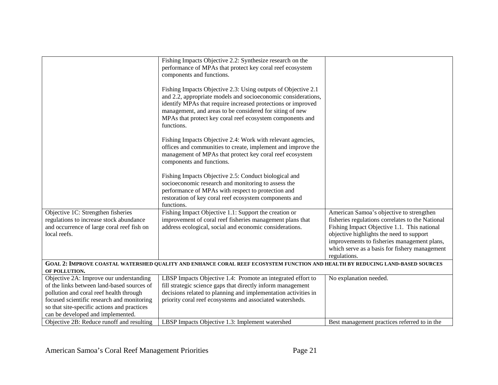|                                             | Fishing Impacts Objective 2.2: Synthesize research on the                                                                     |                                                  |
|---------------------------------------------|-------------------------------------------------------------------------------------------------------------------------------|--------------------------------------------------|
|                                             | performance of MPAs that protect key coral reef ecosystem                                                                     |                                                  |
|                                             | components and functions.                                                                                                     |                                                  |
|                                             |                                                                                                                               |                                                  |
|                                             | Fishing Impacts Objective 2.3: Using outputs of Objective 2.1                                                                 |                                                  |
|                                             | and 2.2, appropriate models and socioeconomic considerations,                                                                 |                                                  |
|                                             | identify MPAs that require increased protections or improved                                                                  |                                                  |
|                                             | management, and areas to be considered for siting of new                                                                      |                                                  |
|                                             | MPAs that protect key coral reef ecosystem components and                                                                     |                                                  |
|                                             | functions.                                                                                                                    |                                                  |
|                                             |                                                                                                                               |                                                  |
|                                             | Fishing Impacts Objective 2.4: Work with relevant agencies,                                                                   |                                                  |
|                                             | offices and communities to create, implement and improve the                                                                  |                                                  |
|                                             | management of MPAs that protect key coral reef ecosystem                                                                      |                                                  |
|                                             | components and functions.                                                                                                     |                                                  |
|                                             |                                                                                                                               |                                                  |
|                                             | Fishing Impacts Objective 2.5: Conduct biological and                                                                         |                                                  |
|                                             | socioeconomic research and monitoring to assess the                                                                           |                                                  |
|                                             | performance of MPAs with respect to protection and                                                                            |                                                  |
|                                             | restoration of key coral reef ecosystem components and                                                                        |                                                  |
|                                             | functions.                                                                                                                    |                                                  |
| Objective 1C: Strengthen fisheries          | Fishing Impact Objective 1.1: Support the creation or                                                                         | American Samoa's objective to strengthen         |
| regulations to increase stock abundance     | improvement of coral reef fisheries management plans that                                                                     | fisheries regulations correlates to the National |
| and occurrence of large coral reef fish on  | address ecological, social and economic considerations.                                                                       | Fishing Impact Objective 1.1. This national      |
| local reefs.                                |                                                                                                                               | objective highlights the need to support         |
|                                             |                                                                                                                               | improvements to fisheries management plans,      |
|                                             |                                                                                                                               | which serve as a basis for fishery management    |
|                                             |                                                                                                                               | regulations.                                     |
|                                             | GOAL 2: IMPROVE COASTAL WATERSHED QUALITY AND ENHANCE CORAL REEF ECOSYSTEM FUNCTION AND HEALTH BY REDUCING LAND-BASED SOURCES |                                                  |
| OF POLLUTION.                               |                                                                                                                               |                                                  |
| Objective 2A: Improve our understanding     | LBSP Impacts Objective 1.4: Promote an integrated effort to                                                                   | No explanation needed.                           |
| of the links between land-based sources of  | fill strategic science gaps that directly inform management                                                                   |                                                  |
| pollution and coral reef health through     | decisions related to planning and implementation activities in                                                                |                                                  |
| focused scientific research and monitoring  | priority coral reef ecosystems and associated watersheds.                                                                     |                                                  |
| so that site-specific actions and practices |                                                                                                                               |                                                  |
| can be developed and implemented.           |                                                                                                                               |                                                  |
| Objective 2B: Reduce runoff and resulting   | LBSP Impacts Objective 1.3: Implement watershed                                                                               | Best management practices referred to in the     |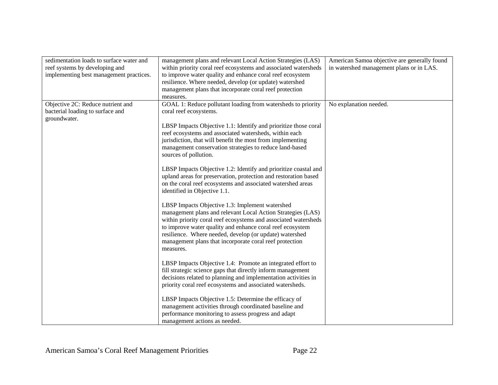| sedimentation loads to surface water and | management plans and relevant Local Action Strategies (LAS)     | American Samoa objective are generally found |
|------------------------------------------|-----------------------------------------------------------------|----------------------------------------------|
| reef systems by developing and           | within priority coral reef ecosystems and associated watersheds | in watershed management plans or in LAS.     |
| implementing best management practices.  | to improve water quality and enhance coral reef ecosystem       |                                              |
|                                          | resilience. Where needed, develop (or update) watershed         |                                              |
|                                          | management plans that incorporate coral reef protection         |                                              |
|                                          | measures.                                                       |                                              |
| Objective 2C: Reduce nutrient and        | GOAL 1: Reduce pollutant loading from watersheds to priority    | No explanation needed.                       |
| bacterial loading to surface and         | coral reef ecosystems.                                          |                                              |
| groundwater.                             |                                                                 |                                              |
|                                          | LBSP Impacts Objective 1.1: Identify and prioritize those coral |                                              |
|                                          | reef ecosystems and associated watersheds, within each          |                                              |
|                                          | jurisdiction, that will benefit the most from implementing      |                                              |
|                                          | management conservation strategies to reduce land-based         |                                              |
|                                          | sources of pollution.                                           |                                              |
|                                          |                                                                 |                                              |
|                                          | LBSP Impacts Objective 1.2: Identify and prioritize coastal and |                                              |
|                                          | upland areas for preservation, protection and restoration based |                                              |
|                                          | on the coral reef ecosystems and associated watershed areas     |                                              |
|                                          | identified in Objective 1.1.                                    |                                              |
|                                          |                                                                 |                                              |
|                                          | LBSP Impacts Objective 1.3: Implement watershed                 |                                              |
|                                          | management plans and relevant Local Action Strategies (LAS)     |                                              |
|                                          | within priority coral reef ecosystems and associated watersheds |                                              |
|                                          | to improve water quality and enhance coral reef ecosystem       |                                              |
|                                          | resilience. Where needed, develop (or update) watershed         |                                              |
|                                          | management plans that incorporate coral reef protection         |                                              |
|                                          | measures.                                                       |                                              |
|                                          |                                                                 |                                              |
|                                          | LBSP Impacts Objective 1.4: Promote an integrated effort to     |                                              |
|                                          | fill strategic science gaps that directly inform management     |                                              |
|                                          | decisions related to planning and implementation activities in  |                                              |
|                                          | priority coral reef ecosystems and associated watersheds.       |                                              |
|                                          |                                                                 |                                              |
|                                          | LBSP Impacts Objective 1.5: Determine the efficacy of           |                                              |
|                                          | management activities through coordinated baseline and          |                                              |
|                                          | performance monitoring to assess progress and adapt             |                                              |
|                                          | management actions as needed.                                   |                                              |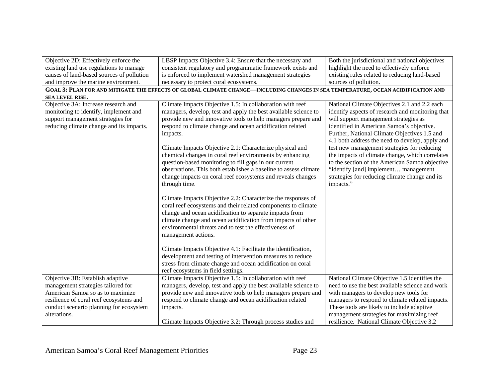| Objective 2D: Effectively enforce the     | LBSP Impacts Objective 3.4: Ensure that the necessary and                                                                        | Both the jurisdictional and national objectives  |
|-------------------------------------------|----------------------------------------------------------------------------------------------------------------------------------|--------------------------------------------------|
| existing land use regulations to manage   | consistent regulatory and programmatic framework exists and                                                                      | highlight the need to effectively enforce        |
| causes of land-based sources of pollution | is enforced to implement watershed management strategies                                                                         | existing rules related to reducing land-based    |
| and improve the marine environment.       | necessary to protect coral ecosystems.                                                                                           | sources of pollution.                            |
|                                           | GOAL 3: PLAN FOR AND MITIGATE THE EFFECTS OF GLOBAL CLIMATE CHANGE—INCLUDING CHANGES IN SEA TEMPERATURE, OCEAN ACIDIFICATION AND |                                                  |
| <b>SEA LEVEL RISE.</b>                    |                                                                                                                                  |                                                  |
| Objective 3A: Increase research and       | Climate Impacts Objective 1.5: In collaboration with reef                                                                        | National Climate Objectives 2.1 and 2.2 each     |
| monitoring to identify, implement and     | managers, develop, test and apply the best available science to                                                                  | identify aspects of research and monitoring that |
| support management strategies for         | provide new and innovative tools to help managers prepare and                                                                    | will support management strategies as            |
| reducing climate change and its impacts.  | respond to climate change and ocean acidification related                                                                        | identified in American Samoa's objective.        |
|                                           | impacts.                                                                                                                         | Further, National Climate Objectives 1.5 and     |
|                                           |                                                                                                                                  | 4.1 both address the need to develop, apply and  |
|                                           | Climate Impacts Objective 2.1: Characterize physical and                                                                         | test new management strategies for reducing      |
|                                           | chemical changes in coral reef environments by enhancing                                                                         | the impacts of climate change, which correlates  |
|                                           | question-based monitoring to fill gaps in our current                                                                            | to the section of the American Samoa objective   |
|                                           | observations. This both establishes a baseline to assess climate                                                                 | "identify [and] implement management             |
|                                           | change impacts on coral reef ecosystems and reveals changes                                                                      | strategies for reducing climate change and its   |
|                                           | through time.                                                                                                                    | impacts."                                        |
|                                           | Climate Impacts Objective 2.2: Characterize the responses of                                                                     |                                                  |
|                                           | coral reef ecosystems and their related components to climate                                                                    |                                                  |
|                                           | change and ocean acidification to separate impacts from                                                                          |                                                  |
|                                           | climate change and ocean acidification from impacts of other                                                                     |                                                  |
|                                           | environmental threats and to test the effectiveness of                                                                           |                                                  |
|                                           | management actions.                                                                                                              |                                                  |
|                                           |                                                                                                                                  |                                                  |
|                                           | Climate Impacts Objective 4.1: Facilitate the identification,                                                                    |                                                  |
|                                           | development and testing of intervention measures to reduce                                                                       |                                                  |
|                                           | stress from climate change and ocean acidification on coral                                                                      |                                                  |
|                                           | reef ecosystems in field settings.                                                                                               |                                                  |
| Objective 3B: Establish adaptive          | Climate Impacts Objective 1.5: In collaboration with reef                                                                        | National Climate Objective 1.5 identifies the    |
| management strategies tailored for        | managers, develop, test and apply the best available science to                                                                  | need to use the best available science and work  |
| American Samoa so as to maximize          | provide new and innovative tools to help managers prepare and                                                                    | with managers to develop new tools for           |
| resilience of coral reef ecosystems and   | respond to climate change and ocean acidification related                                                                        | managers to respond to climate related impacts.  |
| conduct scenario planning for ecosystem   | impacts.                                                                                                                         | These tools are likely to include adaptive       |
| alterations.                              |                                                                                                                                  | management strategies for maximizing reef        |
|                                           | Climate Impacts Objective 3.2: Through process studies and                                                                       | resilience. National Climate Objective 3.2       |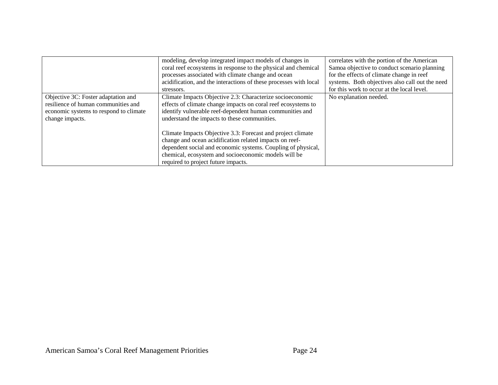|                                                                                                                                         | modeling, develop integrated impact models of changes in<br>coral reef ecosystems in response to the physical and chemical<br>processes associated with climate change and ocean<br>acidification, and the interactions of these processes with local<br>stressors.                   | correlates with the portion of the American<br>Samoa objective to conduct scenario planning<br>for the effects of climate change in reef<br>systems. Both objectives also call out the need<br>for this work to occur at the local level. |
|-----------------------------------------------------------------------------------------------------------------------------------------|---------------------------------------------------------------------------------------------------------------------------------------------------------------------------------------------------------------------------------------------------------------------------------------|-------------------------------------------------------------------------------------------------------------------------------------------------------------------------------------------------------------------------------------------|
| Objective 3C: Foster adaptation and<br>resilience of human communities and<br>economic systems to respond to climate<br>change impacts. | Climate Impacts Objective 2.3: Characterize socioeconomic<br>effects of climate change impacts on coral reef ecosystems to<br>identify vulnerable reef-dependent human communities and<br>understand the impacts to these communities.                                                | No explanation needed.                                                                                                                                                                                                                    |
|                                                                                                                                         | Climate Impacts Objective 3.3: Forecast and project climate<br>change and ocean acidification related impacts on reef-<br>dependent social and economic systems. Coupling of physical,<br>chemical, ecosystem and socioeconomic models will be<br>required to project future impacts. |                                                                                                                                                                                                                                           |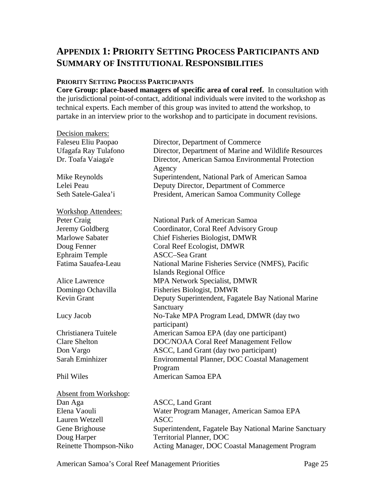# **APPENDIX 1: PRIORITY SETTING PROCESS PARTICIPANTS AND SUMMARY OF INSTITUTIONAL RESPONSIBILITIES**

#### **PRIORITY SETTING PROCESS PARTICIPANTS**

**Core Group: place-based managers of specific area of coral reef.** In consultation with the jurisdictional point-of-contact, additional individuals were invited to the workshop as technical experts. Each member of this group was invited to attend the workshop, to partake in an interview prior to the workshop and to participate in document revisions.

| Decision makers:           |                                                             |  |
|----------------------------|-------------------------------------------------------------|--|
| Faleseu Eliu Paopao        | Director, Department of Commerce                            |  |
| Ufagafa Ray Tulafono       | Director, Department of Marine and Wildlife Resources       |  |
| Dr. Toafa Vaiaga'e         | Director, American Samoa Environmental Protection<br>Agency |  |
| Mike Reynolds              | Superintendent, National Park of American Samoa             |  |
| Lelei Peau                 | Deputy Director, Department of Commerce                     |  |
| Seth Satele-Galea'i        | President, American Samoa Community College                 |  |
| <b>Workshop Attendees:</b> |                                                             |  |
| Peter Craig                | National Park of American Samoa                             |  |
| Jeremy Goldberg            | Coordinator, Coral Reef Advisory Group                      |  |
| <b>Marlowe Sabater</b>     | Chief Fisheries Biologist, DMWR                             |  |
| Doug Fenner                | Coral Reef Ecologist, DMWR                                  |  |
| <b>Ephraim Temple</b>      | ASCC-Sea Grant                                              |  |
| Fatima Sauafea-Leau        | National Marine Fisheries Service (NMFS), Pacific           |  |
|                            | Islands Regional Office                                     |  |
| Alice Lawrence             | <b>MPA Network Specialist, DMWR</b>                         |  |

Kevin Grant Deputy Superintendent, Fagatele Bay National Marine

Sanctuary

participant)

Program

Lucy Jacob No-Take MPA Program Lead, DMWR (day two

Christianera Tuitele American Samoa EPA (day one participant) Clare Shelton DOC/NOAA Coral Reef Management Fellow Don Vargo ASCC, Land Grant (day two participant) Sarah Eminhizer Environmental Planner, DOC Coastal Management

#### Phil Wiles **American Samoa EPA**

Absent from Workshop: Dan Aga **ASCC**, Land Grant Lauren Wetzell ASCC Doug Harper Territorial Planner, DOC

Elena Vaouli Water Program Manager, American Samoa EPA Gene Brighouse Superintendent, Fagatele Bay National Marine Sanctuary Reinette Thompson-Niko Acting Manager, DOC Coastal Management Program

American Samoa's Coral Reef Management Priorities Page 25

Domingo Ochavilla Fisheries Biologist, DMWR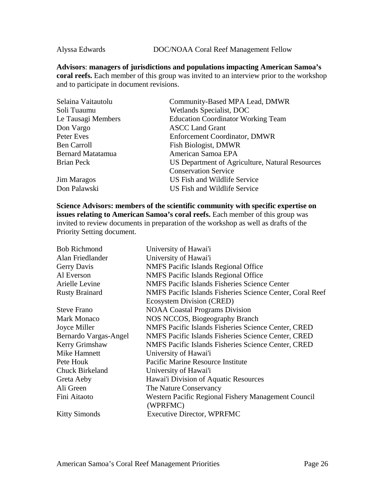Alyssa Edwards DOC/NOAA Coral Reef Management Fellow

**Advisors**: **managers of jurisdictions and populations impacting American Samoa's coral reefs.** Each member of this group was invited to an interview prior to the workshop and to participate in document revisions.

| Community-Based MPA Lead, DMWR                  |
|-------------------------------------------------|
| Wetlands Specialist, DOC                        |
| <b>Education Coordinator Working Team</b>       |
| <b>ASCC Land Grant</b>                          |
| <b>Enforcement Coordinator, DMWR</b>            |
| Fish Biologist, DMWR                            |
| American Samoa EPA                              |
| US Department of Agriculture, Natural Resources |
| <b>Conservation Service</b>                     |
| US Fish and Wildlife Service                    |
| US Fish and Wildlife Service                    |
|                                                 |

**Science Advisors: members of the scientific community with specific expertise on issues relating to American Samoa's coral reefs.** Each member of this group was invited to review documents in preparation of the workshop as well as drafts of the Priority Setting document.

| Alan Friedlander<br>University of Hawai'i<br><b>NMFS Pacific Islands Regional Office</b><br>Gerry Davis<br>Al Everson<br><b>NMFS</b> Pacific Islands Regional Office<br>Arielle Levine<br><b>NMFS Pacific Islands Fisheries Science Center</b><br><b>Rusty Brainard</b><br><b>Ecosystem Division (CRED)</b><br><b>NOAA Coastal Programs Division</b><br><b>Steve Frano</b><br>NOS NCCOS, Biogeography Branch<br><b>Mark Monaco</b><br>NMFS Pacific Islands Fisheries Science Center, CRED<br>Joyce Miller<br>Bernardo Vargas-Angel<br>NMFS Pacific Islands Fisheries Science Center, CRED<br>Kerry Grimshaw<br>NMFS Pacific Islands Fisheries Science Center, CRED<br>Mike Hamnett<br>University of Hawai'i<br>Pacific Marine Resource Institute<br>Pete Houk<br><b>Chuck Birkeland</b><br>University of Hawai'i<br>Hawai'i Division of Aquatic Resources<br>Greta Aeby<br>Ali Green<br>The Nature Conservancy<br>Fini Aitaoto<br>Western Pacific Regional Fishery Management Council<br>(WPRFMC) | <b>Bob Richmond</b>  | University of Hawai'i                                     |
|---------------------------------------------------------------------------------------------------------------------------------------------------------------------------------------------------------------------------------------------------------------------------------------------------------------------------------------------------------------------------------------------------------------------------------------------------------------------------------------------------------------------------------------------------------------------------------------------------------------------------------------------------------------------------------------------------------------------------------------------------------------------------------------------------------------------------------------------------------------------------------------------------------------------------------------------------------------------------------------------------|----------------------|-----------------------------------------------------------|
|                                                                                                                                                                                                                                                                                                                                                                                                                                                                                                                                                                                                                                                                                                                                                                                                                                                                                                                                                                                                   |                      |                                                           |
|                                                                                                                                                                                                                                                                                                                                                                                                                                                                                                                                                                                                                                                                                                                                                                                                                                                                                                                                                                                                   |                      |                                                           |
|                                                                                                                                                                                                                                                                                                                                                                                                                                                                                                                                                                                                                                                                                                                                                                                                                                                                                                                                                                                                   |                      |                                                           |
|                                                                                                                                                                                                                                                                                                                                                                                                                                                                                                                                                                                                                                                                                                                                                                                                                                                                                                                                                                                                   |                      |                                                           |
|                                                                                                                                                                                                                                                                                                                                                                                                                                                                                                                                                                                                                                                                                                                                                                                                                                                                                                                                                                                                   |                      | NMFS Pacific Islands Fisheries Science Center, Coral Reef |
|                                                                                                                                                                                                                                                                                                                                                                                                                                                                                                                                                                                                                                                                                                                                                                                                                                                                                                                                                                                                   |                      |                                                           |
|                                                                                                                                                                                                                                                                                                                                                                                                                                                                                                                                                                                                                                                                                                                                                                                                                                                                                                                                                                                                   |                      |                                                           |
|                                                                                                                                                                                                                                                                                                                                                                                                                                                                                                                                                                                                                                                                                                                                                                                                                                                                                                                                                                                                   |                      |                                                           |
|                                                                                                                                                                                                                                                                                                                                                                                                                                                                                                                                                                                                                                                                                                                                                                                                                                                                                                                                                                                                   |                      |                                                           |
|                                                                                                                                                                                                                                                                                                                                                                                                                                                                                                                                                                                                                                                                                                                                                                                                                                                                                                                                                                                                   |                      |                                                           |
|                                                                                                                                                                                                                                                                                                                                                                                                                                                                                                                                                                                                                                                                                                                                                                                                                                                                                                                                                                                                   |                      |                                                           |
|                                                                                                                                                                                                                                                                                                                                                                                                                                                                                                                                                                                                                                                                                                                                                                                                                                                                                                                                                                                                   |                      |                                                           |
|                                                                                                                                                                                                                                                                                                                                                                                                                                                                                                                                                                                                                                                                                                                                                                                                                                                                                                                                                                                                   |                      |                                                           |
|                                                                                                                                                                                                                                                                                                                                                                                                                                                                                                                                                                                                                                                                                                                                                                                                                                                                                                                                                                                                   |                      |                                                           |
|                                                                                                                                                                                                                                                                                                                                                                                                                                                                                                                                                                                                                                                                                                                                                                                                                                                                                                                                                                                                   |                      |                                                           |
|                                                                                                                                                                                                                                                                                                                                                                                                                                                                                                                                                                                                                                                                                                                                                                                                                                                                                                                                                                                                   |                      |                                                           |
|                                                                                                                                                                                                                                                                                                                                                                                                                                                                                                                                                                                                                                                                                                                                                                                                                                                                                                                                                                                                   |                      |                                                           |
|                                                                                                                                                                                                                                                                                                                                                                                                                                                                                                                                                                                                                                                                                                                                                                                                                                                                                                                                                                                                   | <b>Kitty Simonds</b> | <b>Executive Director, WPRFMC</b>                         |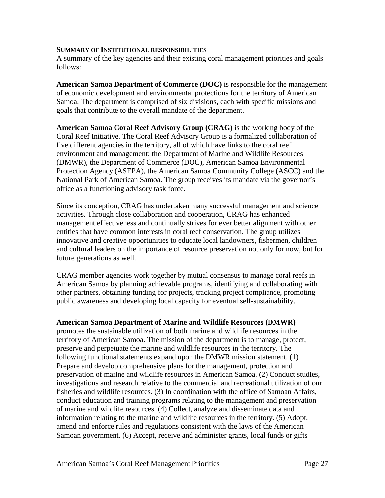#### **SUMMARY OF INSTITUTIONAL RESPONSIBILITIES**

A summary of the key agencies and their existing coral management priorities and goals follows:

**American Samoa Department of Commerce (DOC)** is responsible for the management of economic development and environmental protections for the territory of American Samoa. The department is comprised of six divisions, each with specific missions and goals that contribute to the overall mandate of the department.

**American Samoa Coral Reef Advisory Group (CRAG)** is the working body of the Coral Reef Initiative. The Coral Reef Advisory Group is a formalized collaboration of five different agencies in the territory, all of which have links to the coral reef environment and management: the Department of Marine and Wildlife Resources (DMWR), the Department of Commerce (DOC), American Samoa Environmental Protection Agency (ASEPA), the American Samoa Community College (ASCC) and the National Park of American Samoa. The group receives its mandate via the governor's office as a functioning advisory task force.

Since its conception, CRAG has undertaken many successful management and science activities. Through close collaboration and cooperation, CRAG has enhanced management effectiveness and continually strives for ever better alignment with other entities that have common interests in coral reef conservation. The group utilizes innovative and creative opportunities to educate local landowners, fishermen, children and cultural leaders on the importance of resource preservation not only for now, but for future generations as well.

CRAG member agencies work together by mutual consensus to manage coral reefs in American Samoa by planning achievable programs, identifying and collaborating with other partners, obtaining funding for projects, tracking project compliance, promoting public awareness and developing local capacity for eventual self-sustainability.

#### **American Samoa Department of Marine and Wildlife Resources (DMWR)**

promotes the sustainable utilization of both marine and wildlife resources in the territory of American Samoa. The mission of the department is to manage, protect, preserve and perpetuate the marine and wildlife resources in the territory. The following functional statements expand upon the DMWR mission statement. (1) Prepare and develop comprehensive plans for the management, protection and preservation of marine and wildlife resources in American Samoa. (2) Conduct studies, investigations and research relative to the commercial and recreational utilization of our fisheries and wildlife resources. (3) In coordination with the office of Samoan Affairs, conduct education and training programs relating to the management and preservation of marine and wildlife resources. (4) Collect, analyze and disseminate data and information relating to the marine and wildlife resources in the territory. (5) Adopt, amend and enforce rules and regulations consistent with the laws of the American Samoan government. (6) Accept, receive and administer grants, local funds or gifts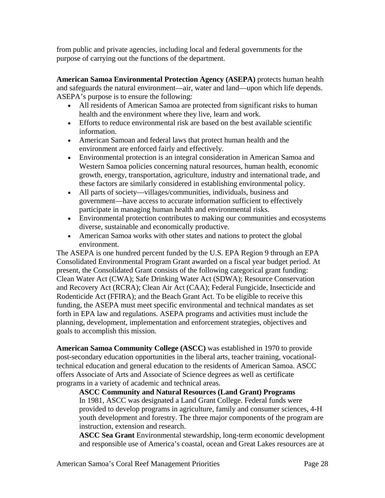from public and private agencies, including local and federal governments for the purpose of carrying out the functions of the department.

**American Samoa Environmental Protection Agency (ASEPA)** protects human health and safeguards the natural environment—air, water and land—upon which life depends. ASEPA's purpose is to ensure the following:

- All residents of American Samoa are protected from significant risks to human health and the environment where they live, learn and work.
- Efforts to reduce environmental risk are based on the best available scientific information.
- American Samoan and federal laws that protect human health and the environment are enforced fairly and effectively.
- Environmental protection is an integral consideration in American Samoa and Western Samoa policies concerning natural resources, human health, economic growth, energy, transportation, agriculture, industry and international trade, and these factors are similarly considered in establishing environmental policy.
- All parts of society—villages/communities, individuals, business and government—have access to accurate information sufficient to effectively participate in managing human health and environmental risks.
- Environmental protection contributes to making our communities and ecosystems diverse, sustainable and economically productive.
- American Samoa works with other states and nations to protect the global environment.

The ASEPA is one hundred percent funded by the U.S. EPA Region 9 through an EPA Consolidated Environmental Program Grant awarded on a fiscal year budget period. At present, the Consolidated Grant consists of the following categorical grant funding: Clean Water Act (CWA); Safe Drinking Water Act (SDWA); Resource Conservation and Recovery Act (RCRA); Clean Air Act (CAA); Federal Fungicide, Insecticide and Rodenticide Act (FFIRA); and the Beach Grant Act. To be eligible to receive this funding, the ASEPA must meet specific environmental and technical mandates as set forth in EPA law and regulations. ASEPA programs and activities must include the planning, development, implementation and enforcement strategies, objectives and goals to accomplish this mission.

**American Samoa Community College (ASCC)** was established in 1970 to provide post-secondary education opportunities in the liberal arts, teacher training, vocationaltechnical education and general education to the residents of American Samoa. ASCC offers Associate of Arts and Associate of Science degrees as well as certificate programs in a variety of academic and technical areas.

**ASCC Community and Natural Resources (Land Grant) Programs** 

In 1981, ASCC was designated a Land Grant College. Federal funds were provided to develop programs in agriculture, family and consumer sciences, 4-H youth development and forestry. The three major components of the program are instruction, extension and research.

**ASCC Sea Grant** Environmental stewardship, long-term economic development and responsible use of America's coastal, ocean and Great Lakes resources are at

American Samoa's Coral Reef Management Priorities **Page 28** Page 28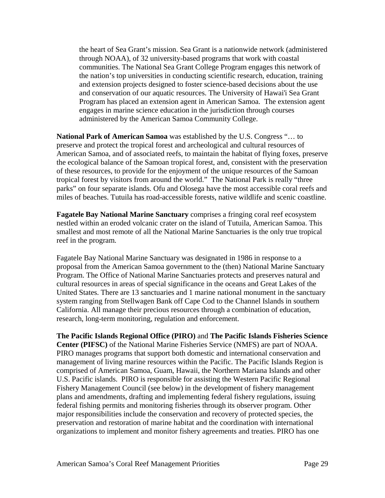the heart of Sea Grant's mission. Sea Grant is a nationwide network (administered through NOAA), of 32 university-based programs that work with coastal communities. The National Sea Grant College Program engages this network of the nation's top universities in conducting scientific research, education, training and extension projects designed to foster science-based decisions about the use and conservation of our aquatic resources. The University of Hawai'i Sea Grant Program has placed an extension agent in American Samoa. The extension agent engages in marine science education in the jurisdiction through courses administered by the American Samoa Community College.

**National Park of American Samoa** was established by the U.S. Congress "… to preserve and protect the tropical forest and archeological and cultural resources of American Samoa, and of associated reefs, to maintain the habitat of flying foxes, preserve the ecological balance of the Samoan tropical forest, and, consistent with the preservation of these resources, to provide for the enjoyment of the unique resources of the Samoan tropical forest by visitors from around the world." The National Park is really "three parks" on four separate islands. Ofu and Olosega have the most accessible coral reefs and miles of beaches. Tutuila has road-accessible forests, native wildlife and scenic coastline.

**Fagatele Bay National Marine Sanctuary** comprises a fringing coral reef ecosystem nestled within an eroded volcanic crater on the island of Tutuila, American Samoa. This smallest and most remote of all the National Marine Sanctuaries is the only true tropical reef in the program.

Fagatele Bay National Marine Sanctuary was designated in 1986 in response to a proposal from the American Samoa government to the (then) National Marine Sanctuary Program. The Office of National Marine Sanctuaries protects and preserves natural and cultural resources in areas of special significance in the oceans and Great Lakes of the United States. There are 13 sanctuaries and 1 marine national monument in the sanctuary system ranging from Stellwagen Bank off Cape Cod to the Channel Islands in southern California. All manage their precious resources through a combination of education, research, long-term monitoring, regulation and enforcement.

**The Pacific Islands Regional Office (PIRO)** and **The Pacific Islands Fisheries Science Center (PIFSC)** of the National Marine Fisheries Service (NMFS) are part of NOAA. PIRO manages programs that support both domestic and international conservation and management of living marine resources within the Pacific. The Pacific Islands Region is comprised of American Samoa, Guam, Hawaii, the Northern Mariana Islands and other U.S. Pacific islands. PIRO is responsible for assisting the [Western Pacific Regional](http://www.wpcouncil.org/)  [Fishery Management Council](http://www.wpcouncil.org/) (see below) in the development of fishery management plans and amendments, drafting and implementing federal fishery regulations, issuing federal fishing permits and monitoring fisheries through its observer program. Other major responsibilities include the conservation and recovery of protected species, the preservation and restoration of marine habitat and the coordination with international organizations to implement and monitor fishery agreements and treaties. PIRO has one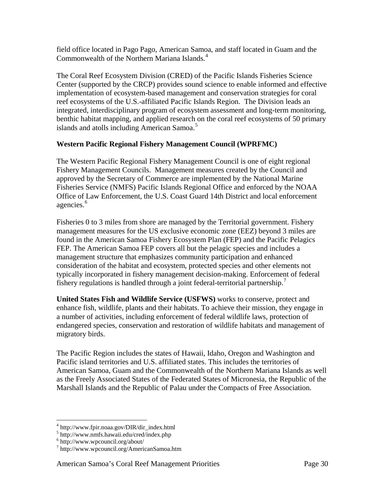field office located in Pago Pago, American Samoa, and staff located in Guam and the Commonwealth of the Northern Mariana Islands.<sup>[4](#page-29-0)</sup>

The Coral Reef Ecosystem Division (CRED) of the [Pacific Islands Fisheries Science](http://www.nmfs.hawaii.edu/)  [Center](http://www.nmfs.hawaii.edu/) (supported by the CRCP) provides sound science to enable informed and effective implementation of ecosystem-based management and conservation strategies for coral reef ecosystems of the U.S.-affiliated Pacific Islands Region. The Division leads an integrated, interdisciplinary program of ecosystem assessment and long-term monitoring, benthic habitat mapping, and applied research on the coral reef ecosystems of 50 primary islands and atolls including American Samoa.<sup>[5](#page-29-1)</sup>

## **Western Pacific Regional Fishery Management Council (WPRFMC)**

The Western Pacific Regional Fishery Management Council is one of eight regional Fishery Management Councils. Management measures created by the Council and approved by the Secretary of Commerce are implemented by the National Marine Fisheries Service (NMFS) Pacific Islands Regional Office and enforced by the NOAA Office of Law Enforcement, the U.S. Coast Guard 14th District and local enforcement agencies.<sup>[6](#page-29-2)</sup>

Fisheries 0 to 3 miles from shore are managed by the Territorial government. Fishery management measures for the US exclusive economic zone (EEZ) beyond 3 miles are found in the American Samoa Fishery Ecosystem Plan (FEP) and the Pacific Pelagics FEP. The American Samoa FEP covers all but the pelagic species and includes a management structure that emphasizes community participation and enhanced consideration of the habitat and ecosystem, protected species and other elements not typically incorporated in fishery management decision-making. Enforcement of federal fishery regulations is handled through a joint federal-territorial partnership. $\frac{7}{2}$  $\frac{7}{2}$  $\frac{7}{2}$ 

**United States Fish and Wildlife Service (USFWS)** works to conserve, protect and enhance fish, wildlife, plants and their habitats. To achieve their mission, they engage in a number of activities, including enforcement of federal wildlife laws, protection of endangered species, conservation and restoration of wildlife habitats and management of migratory birds.

The Pacific Region includes the states of Hawaii, Idaho, Oregon and Washington and Pacific island territories and U.S. affiliated states. This includes the territories of American Samoa, Guam and the Commonwealth of the Northern Mariana Islands as well as the Freely Associated States of the Federated States of Micronesia, the Republic of the Marshall Islands and the Republic of Palau under the Compacts of Free Association.

 <sup>4</sup> http://www.fpir.noaa.gov/DIR/dir\_index.html

<span id="page-29-2"></span><span id="page-29-1"></span><span id="page-29-0"></span><sup>5</sup> http://www.nmfs.hawaii.edu/cred/index.php<br>6 http://www.wpcouncil.org/about/

<span id="page-29-3"></span><sup>7</sup> http://www.wpcouncil.org/AmericanSamoa.htm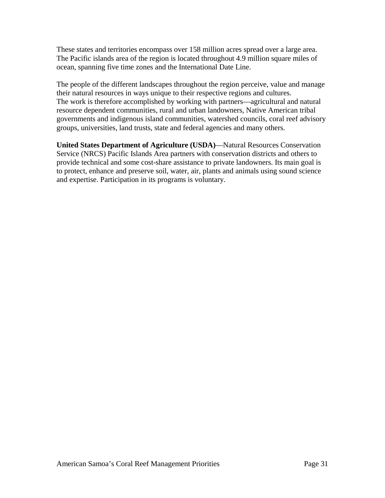These states and territories encompass over 158 million acres spread over a large area. The Pacific islands area of the region is located throughout 4.9 million square miles of ocean, spanning five time zones and the International Date Line.

The people of the different landscapes throughout the region perceive, value and manage their natural resources in ways unique to their respective regions and cultures. The work is therefore accomplished by working with partners—agricultural and natural resource dependent communities, rural and urban landowners, Native American tribal governments and indigenous island communities, watershed councils, coral reef advisory groups, universities, land trusts, state and federal agencies and many others.

**United States Department of Agriculture (USDA)**—Natural Resources Conservation Service (NRCS) Pacific Islands Area partners with conservation districts and others to provide technical and some cost-share assistance to private landowners. Its main goal is to protect, enhance and preserve soil, water, air, plants and animals using sound science and expertise. Participation in its programs is voluntary.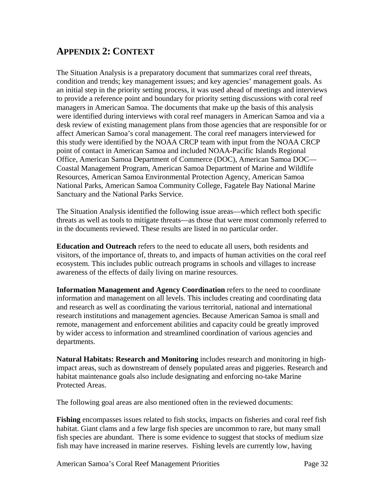# **APPENDIX 2: CONTEXT**

The Situation Analysis is a preparatory document that summarizes coral reef threats, condition and trends; key management issues; and key agencies' management goals. As an initial step in the priority setting process, it was used ahead of meetings and interviews to provide a reference point and boundary for priority setting discussions with coral reef managers in American Samoa. The documents that make up the basis of this analysis were identified during interviews with coral reef managers in American Samoa and via a desk review of existing management plans from those agencies that are responsible for or affect American Samoa's coral management. The coral reef managers interviewed for this study were identified by the NOAA CRCP team with input from the NOAA CRCP point of contact in American Samoa and included NOAA-Pacific Islands Regional Office, American Samoa Department of Commerce (DOC), American Samoa DOC— Coastal Management Program, American Samoa Department of Marine and Wildlife Resources, American Samoa Environmental Protection Agency, American Samoa National Parks, American Samoa Community College, Fagatele Bay National Marine Sanctuary and the National Parks Service.

The Situation Analysis identified the following issue areas—which reflect both specific threats as well as tools to mitigate threats—as those that were most commonly referred to in the documents reviewed. These results are listed in no particular order.

**Education and Outreach** refers to the need to educate all users, both residents and visitors, of the importance of, threats to, and impacts of human activities on the coral reef ecosystem. This includes public outreach programs in schools and villages to increase awareness of the effects of daily living on marine resources.

**Information Management and Agency Coordination** refers to the need to coordinate information and management on all levels. This includes creating and coordinating data and research as well as coordinating the various territorial, national and international research institutions and management agencies. Because American Samoa is small and remote, management and enforcement abilities and capacity could be greatly improved by wider access to information and streamlined coordination of various agencies and departments.

**Natural Habitats: Research and Monitoring** includes research and monitoring in highimpact areas, such as downstream of densely populated areas and piggeries. Research and habitat maintenance goals also include designating and enforcing no-take Marine Protected Areas.

The following goal areas are also mentioned often in the reviewed documents:

**Fishing** encompasses issues related to fish stocks, impacts on fisheries and coral reef fish habitat. Giant clams and a few large fish species are uncommon to rare, but many small fish species are abundant. There is some evidence to suggest that stocks of medium size fish may have increased in marine reserves. Fishing levels are currently low, having

American Samoa's Coral Reef Management Priorities **Page 32** Page 32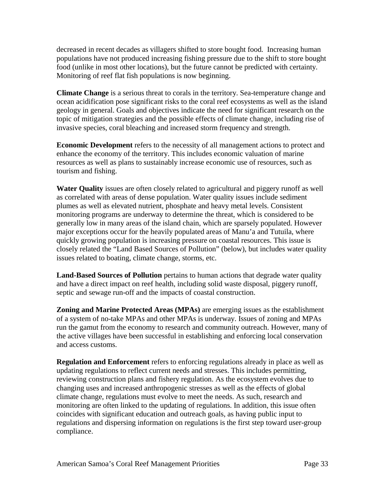decreased in recent decades as villagers shifted to store bought food. Increasing human populations have not produced increasing fishing pressure due to the shift to store bought food (unlike in most other locations), but the future cannot be predicted with certainty. Monitoring of reef flat fish populations is now beginning.

**Climate Change** is a serious threat to corals in the territory. Sea-temperature change and ocean acidification pose significant risks to the coral reef ecosystems as well as the island geology in general. Goals and objectives indicate the need for significant research on the topic of mitigation strategies and the possible effects of climate change, including rise of invasive species, coral bleaching and increased storm frequency and strength.

**Economic Development** refers to the necessity of all management actions to protect and enhance the economy of the territory. This includes economic valuation of marine resources as well as plans to sustainably increase economic use of resources, such as tourism and fishing.

**Water Quality** issues are often closely related to agricultural and piggery runoff as well as correlated with areas of dense population. Water quality issues include sediment plumes as well as elevated nutrient, phosphate and heavy metal levels. Consistent monitoring programs are underway to determine the threat, which is considered to be generally low in many areas of the island chain, which are sparsely populated. However major exceptions occur for the heavily populated areas of Manu'a and Tutuila, where quickly growing population is increasing pressure on coastal resources. This issue is closely related the "Land Based Sources of Pollution" (below), but includes water quality issues related to boating, climate change, storms, etc.

**Land-Based Sources of Pollution** pertains to human actions that degrade water quality and have a direct impact on reef health, including solid waste disposal, piggery runoff, septic and sewage run-off and the impacts of coastal construction.

**Zoning and Marine Protected Areas (MPAs)** are emerging issues as the establishment of a system of no-take MPAs and other MPAs is underway. Issues of zoning and MPAs run the gamut from the economy to research and community outreach. However, many of the active villages have been successful in establishing and enforcing local conservation and access customs.

**Regulation and Enforcement** refers to enforcing regulations already in place as well as updating regulations to reflect current needs and stresses. This includes permitting, reviewing construction plans and fishery regulation. As the ecosystem evolves due to changing uses and increased anthropogenic stresses as well as the effects of global climate change, regulations must evolve to meet the needs. As such, research and monitoring are often linked to the updating of regulations. In addition, this issue often coincides with significant education and outreach goals, as having public input to regulations and dispersing information on regulations is the first step toward user-group compliance.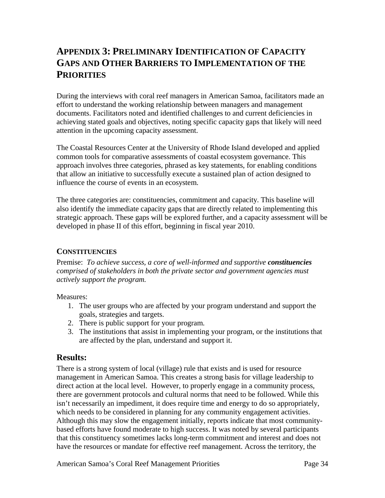# **APPENDIX 3: PRELIMINARY IDENTIFICATION OF CAPACITY GAPS AND OTHER BARRIERS TO IMPLEMENTATION OF THE PRIORITIES**

During the interviews with coral reef managers in American Samoa, facilitators made an effort to understand the working relationship between managers and management documents. Facilitators noted and identified challenges to and current deficiencies in achieving stated goals and objectives, noting specific capacity gaps that likely will need attention in the upcoming capacity assessment.

The Coastal Resources Center at the University of Rhode Island developed and applied common tools for comparative assessments of coastal ecosystem governance. This approach involves three categories, phrased as key statements, for enabling conditions that allow an initiative to successfully execute a sustained plan of action designed to influence the course of events in an ecosystem.

The three categories are: constituencies, commitment and capacity. This baseline will also identify the immediate capacity gaps that are directly related to implementing this strategic approach. These gaps will be explored further, and a capacity assessment will be developed in phase II of this effort, beginning in fiscal year 2010.

## **CONSTITUENCIES**

Premise: *To achieve success, a core of well-informed and supportive constituencies comprised of stakeholders in both the private sector and government agencies must actively support the program.*

Measures:

- 1. The user groups who are affected by your program understand and support the goals, strategies and targets.
- 2. There is public support for your program.
- 3. The institutions that assist in implementing your program, or the institutions that are affected by the plan, understand and support it.

## **Results:**

There is a strong system of local (village) rule that exists and is used for resource management in American Samoa. This creates a strong basis for village leadership to direct action at the local level. However, to properly engage in a community process, there are government protocols and cultural norms that need to be followed. While this isn't necessarily an impediment, it does require time and energy to do so appropriately, which needs to be considered in planning for any community engagement activities. Although this may slow the engagement initially, reports indicate that most communitybased efforts have found moderate to high success. It was noted by several participants that this constituency sometimes lacks long-term commitment and interest and does not have the resources or mandate for effective reef management. Across the territory, the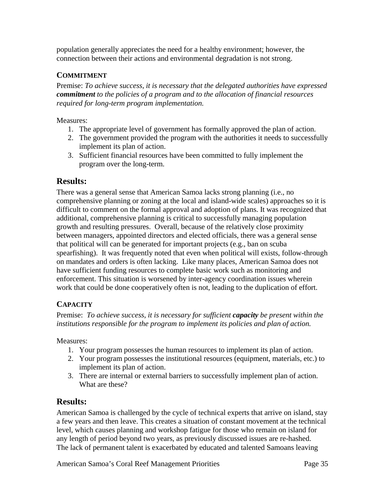population generally appreciates the need for a healthy environment; however, the connection between their actions and environmental degradation is not strong.

# **COMMITMENT**

Premise: *To achieve success, it is necessary that the delegated authorities have expressed commitment to the policies of a program and to the allocation of financial resources required for long-term program implementation.*

Measures:

- 1. The appropriate level of government has formally approved the plan of action.
- 2. The government provided the program with the authorities it needs to successfully implement its plan of action.
- 3. Sufficient financial resources have been committed to fully implement the program over the long-term.

# **Results:**

There was a general sense that American Samoa lacks strong planning (i.e., no comprehensive planning or zoning at the local and island-wide scales) approaches so it is difficult to comment on the formal approval and adoption of plans. It was recognized that additional, comprehensive planning is critical to successfully managing population growth and resulting pressures. Overall, because of the relatively close proximity between managers, appointed directors and elected officials, there was a general sense that political will can be generated for important projects (e.g., ban on scuba spearfishing). It was frequently noted that even when political will exists, follow-through on mandates and orders is often lacking. Like many places, American Samoa does not have sufficient funding resources to complete basic work such as monitoring and enforcement. This situation is worsened by inter-agency coordination issues wherein work that could be done cooperatively often is not, leading to the duplication of effort.

# **CAPACITY**

Premise: *To achieve success, it is necessary for sufficient capacity be present within the institutions responsible for the program to implement its policies and plan of action.*

Measures:

- 1. Your program possesses the human resources to implement its plan of action.
- 2. Your program possesses the institutional resources (equipment, materials, etc.) to implement its plan of action.
- 3. There are internal or external barriers to successfully implement plan of action. What are these?

# **Results:**

American Samoa is challenged by the cycle of technical experts that arrive on island, stay a few years and then leave. This creates a situation of constant movement at the technical level, which causes planning and workshop fatigue for those who remain on island for any length of period beyond two years, as previously discussed issues are re-hashed. The lack of permanent talent is exacerbated by educated and talented Samoans leaving

American Samoa's Coral Reef Management Priorities **Page 35**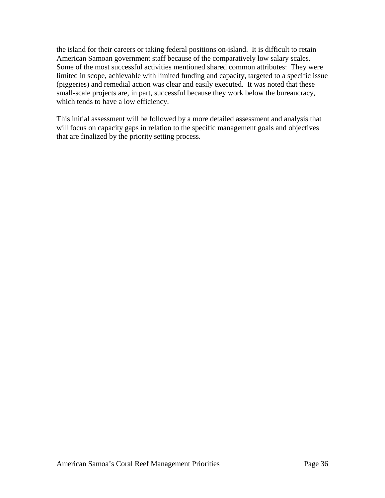the island for their careers or taking federal positions on-island. It is difficult to retain American Samoan government staff because of the comparatively low salary scales. Some of the most successful activities mentioned shared common attributes: They were limited in scope, achievable with limited funding and capacity, targeted to a specific issue (piggeries) and remedial action was clear and easily executed. It was noted that these small-scale projects are, in part, successful because they work below the bureaucracy, which tends to have a low efficiency.

This initial assessment will be followed by a more detailed assessment and analysis that will focus on capacity gaps in relation to the specific management goals and objectives that are finalized by the priority setting process.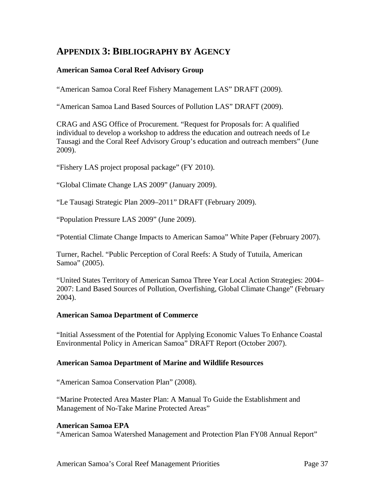# **APPENDIX 3: BIBLIOGRAPHY BY AGENCY**

## **American Samoa Coral Reef Advisory Group**

"American Samoa Coral Reef Fishery Management LAS" DRAFT (2009).

"American Samoa Land Based Sources of Pollution LAS" DRAFT (2009).

CRAG and ASG Office of Procurement. "Request for Proposals for: A qualified individual to develop a workshop to address the education and outreach needs of Le Tausagi and the Coral Reef Advisory Group's education and outreach members" (June 2009).

"Fishery LAS project proposal package" (FY 2010).

"Global Climate Change LAS 2009" (January 2009).

"Le Tausagi Strategic Plan 2009–2011" DRAFT (February 2009).

"Population Pressure LAS 2009" (June 2009).

"Potential Climate Change Impacts to American Samoa" White Paper (February 2007).

Turner, Rachel. "Public Perception of Coral Reefs: A Study of Tutuila, American Samoa" (2005).

"United States Territory of American Samoa Three Year Local Action Strategies: 2004– 2007: Land Based Sources of Pollution, Overfishing, Global Climate Change" (February 2004).

#### **American Samoa Department of Commerce**

"Initial Assessment of the Potential for Applying Economic Values To Enhance Coastal Environmental Policy in American Samoa" DRAFT Report (October 2007).

#### **American Samoa Department of Marine and Wildlife Resources**

"American Samoa Conservation Plan" (2008).

"Marine Protected Area Master Plan: A Manual To Guide the Establishment and Management of No-Take Marine Protected Areas"

#### **American Samoa EPA**

"American Samoa Watershed Management and Protection Plan FY08 Annual Report"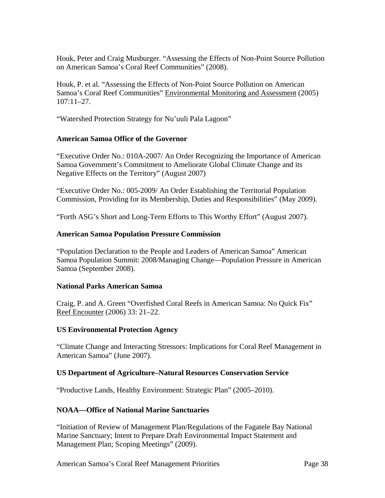Houk, Peter and Craig Musburger. "Assessing the Effects of Non-Point Source Pollution on American Samoa's Coral Reef Communities" (2008).

Houk, P. et al. "Assessing the Effects of Non-Point Source Pollution on American Samoa's Coral Reef Communities" Environmental Monitoring and Assessment (2005)  $107:11-27$ .

"Watershed Protection Strategy for Nu'uuli Pala Lagoon"

### **American Samoa Office of the Governor**

"Executive Order No.: 010A-2007/ An Order Recognizing the Importance of American Samoa Government's Commitment to Ameliorate Global Climate Change and its Negative Effects on the Territory" (August 2007)

"Executive Order No.: 005-2009/ An Order Establishing the Territorial Population Commission, Providing for its Membership, Duties and Responsibilities" (May 2009).

"Forth ASG's Short and Long-Term Efforts to This Worthy Effort" (August 2007).

### **American Samoa Population Pressure Commission**

"Population Declaration to the People and Leaders of American Samoa" American Samoa Population Summit: 2008/Managing Change—Population Pressure in American Samoa (September 2008).

## **National Parks American Samoa**

Craig, P. and A. Green "Overfished Coral Reefs in American Samoa: No Quick Fix" Reef Encounter (2006) 33: 21–22.

## **US Environmental Protection Agency**

"Climate Change and Interacting Stressors: Implications for Coral Reef Management in American Samoa" (June 2007).

## **US Department of Agriculture–Natural Resources Conservation Service**

"Productive Lands, Healthy Environment: Strategic Plan" (2005–2010).

## **NOAA—Office of National Marine Sanctuaries**

"Initiation of Review of Management Plan/Regulations of the Fagatele Bay National Marine Sanctuary; Intent to Prepare Draft Environmental Impact Statement and Management Plan; Scoping Meetings" (2009).